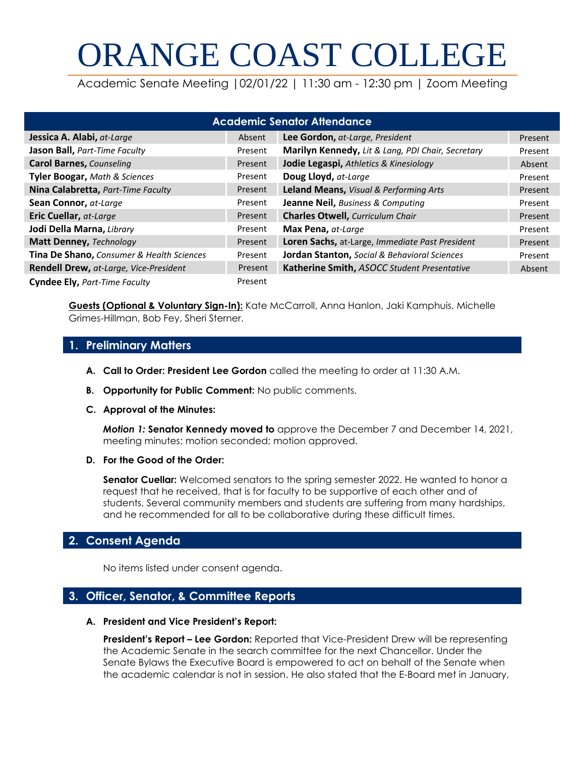# ORANGE COAST COLLEGE

Academic Senate Meeting |02/01/22 | 11:30 am - 12:30 pm | Zoom Meeting

| <b>Academic Senator Attendance</b>        |         |                                                   |         |
|-------------------------------------------|---------|---------------------------------------------------|---------|
| Jessica A. Alabi, at-Large                | Absent  | Lee Gordon, at-Large, President                   | Present |
| <b>Jason Ball, Part-Time Faculty</b>      | Present | Marilyn Kennedy, Lit & Lang, PDI Chair, Secretary | Present |
| <b>Carol Barnes, Counseling</b>           | Present | Jodie Legaspi, Athletics & Kinesiology            | Absent  |
| <b>Tyler Boogar, Math &amp; Sciences</b>  | Present | Doug Lloyd, at-Large                              | Present |
| Nina Calabretta, Part-Time Faculty        | Present | Leland Means, Visual & Performing Arts            | Present |
| Sean Connor, at-Large                     | Present | <b>Jeanne Neil, Business &amp; Computing</b>      | Present |
| <b>Eric Cuellar, at-Large</b>             | Present | <b>Charles Otwell, Curriculum Chair</b>           | Present |
| Jodi Della Marna, Library                 | Present | Max Pena, at-Large                                | Present |
| Matt Denney, Technology                   | Present | Loren Sachs, at-Large, Immediate Past President   | Present |
| Tina De Shano, Consumer & Health Sciences | Present | Jordan Stanton, Social & Behavioral Sciences      | Present |
| Rendell Drew, at-Large, Vice-President    | Present | Katherine Smith, ASOCC Student Presentative       | Absent  |
| Cyndee Ely, Part-Time Faculty             | Present |                                                   |         |

**Guests (Optional & Voluntary Sign-In):** Kate McCarroll, Anna Hanlon, Jaki Kamphuis, Michelle Grimes-Hillman, Bob Fey, Sheri Sterner.

### **1. Preliminary Matters**

- **A. Call to Order: President Lee Gordon** called the meeting to order at 11:30 A.M.
- **B. Opportunity for Public Comment:** No public comments.
- **C. Approval of the Minutes:**

*Motion 1:* **Senator Kennedy moved to** approve the December 7 and December 14, 2021, meeting minutes; motion seconded; motion approved.

**D. For the Good of the Order:**

**Senator Cuellar:** Welcomed senators to the spring semester 2022. He wanted to honor a request that he received, that is for faculty to be supportive of each other and of students. Several community members and students are suffering from many hardships, and he recommended for all to be collaborative during these difficult times.

# **2. Consent Agenda**

No items listed under consent agenda.

# **3. Officer, Senator, & Committee Reports**

#### **A. President and Vice President's Report:**

**President's Report – Lee Gordon:** Reported that Vice-President Drew will be representing the Academic Senate in the search committee for the next Chancellor. Under the Senate Bylaws the Executive Board is empowered to act on behalf of the Senate when the academic calendar is not in session. He also stated that the E-Board met in January,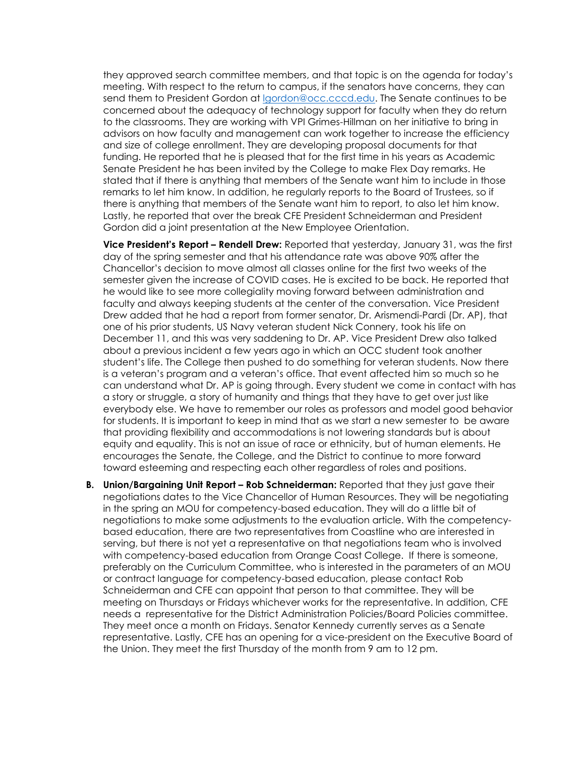they approved search committee members, and that topic is on the agenda for today's meeting. With respect to the return to campus, if the senators have concerns, they can send them to President Gordon at [lgordon@occ.cccd.edu.](mailto:lgordon@occ.cccd.edu) The Senate continues to be concerned about the adequacy of technology support for faculty when they do return to the classrooms. They are working with VPI Grimes-Hillman on her initiative to bring in advisors on how faculty and management can work together to increase the efficiency and size of college enrollment. They are developing proposal documents for that funding. He reported that he is pleased that for the first time in his years as Academic Senate President he has been invited by the College to make Flex Day remarks. He stated that if there is anything that members of the Senate want him to include in those remarks to let him know. In addition, he regularly reports to the Board of Trustees, so if there is anything that members of the Senate want him to report, to also let him know. Lastly, he reported that over the break CFE President Schneiderman and President Gordon did a joint presentation at the New Employee Orientation.

**Vice President's Report – Rendell Drew:** Reported that yesterday, January 31, was the first day of the spring semester and that his attendance rate was above 90% after the Chancellor's decision to move almost all classes online for the first two weeks of the semester given the increase of COVID cases. He is excited to be back. He reported that he would like to see more collegiality moving forward between administration and faculty and always keeping students at the center of the conversation. Vice President Drew added that he had a report from former senator, Dr. Arismendi-Pardi (Dr. AP), that one of his prior students, US Navy veteran student Nick Connery, took his life on December 11, and this was very saddening to Dr. AP. Vice President Drew also talked about a previous incident a few years ago in which an OCC student took another student's life. The College then pushed to do something for veteran students. Now there is a veteran's program and a veteran's office. That event affected him so much so he can understand what Dr. AP is going through. Every student we come in contact with has a story or struggle, a story of humanity and things that they have to get over just like everybody else. We have to remember our roles as professors and model good behavior for students. It is important to keep in mind that as we start a new semester to be aware that providing flexibility and accommodations is not lowering standards but is about equity and equality. This is not an issue of race or ethnicity, but of human elements. He encourages the Senate, the College, and the District to continue to more forward toward esteeming and respecting each other regardless of roles and positions.

**B.** Union/Bargaining Unit Report – Rob Schneiderman: Reported that they just gave their negotiations dates to the Vice Chancellor of Human Resources. They will be negotiating in the spring an MOU for competency-based education. They will do a little bit of negotiations to make some adjustments to the evaluation article. With the competencybased education, there are two representatives from Coastline who are interested in serving, but there is not yet a representative on that negotiations team who is involved with competency-based education from Orange Coast College. If there is someone, preferably on the Curriculum Committee, who is interested in the parameters of an MOU or contract language for competency-based education, please contact Rob Schneiderman and CFE can appoint that person to that committee. They will be meeting on Thursdays or Fridays whichever works for the representative. In addition, CFE needs a representative for the District Administration Policies/Board Policies committee. They meet once a month on Fridays. Senator Kennedy currently serves as a Senate representative. Lastly, CFE has an opening for a vice-president on the Executive Board of the Union. They meet the first Thursday of the month from 9 am to 12 pm.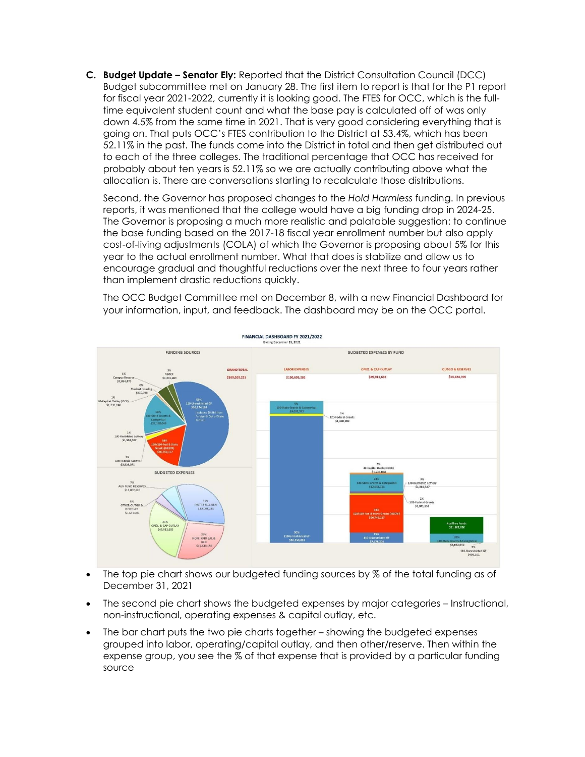**C. Budget Update – Senator Ely:** Reported that the District Consultation Council (DCC) Budget subcommittee met on January 28. The first item to report is that for the P1 report for fiscal year 2021-2022, currently it is looking good. The FTES for OCC, which is the fulltime equivalent student count and what the base pay is calculated off of was only down 4.5% from the same time in 2021. That is very good considering everything that is going on. That puts OCC's FTES contribution to the District at 53.4%, which has been 52.11% in the past. The funds come into the District in total and then get distributed out to each of the three colleges. The traditional percentage that OCC has received for probably about ten years is 52.11% so we are actually contributing above what the allocation is. There are conversations starting to recalculate those distributions.

Second, the Governor has proposed changes to the *Hold Harmless* funding. In previous reports, it was mentioned that the college would have a big funding drop in 2024-25. The Governor is proposing a much more realistic and palatable suggestion: to continue the base funding based on the 2017-18 fiscal year enrollment number but also apply cost-of-living adjustments (COLA) of which the Governor is proposing about 5% for this year to the actual enrollment number. What that does is stabilize and allow us to encourage gradual and thoughtful reductions over the next three to four years rather than implement drastic reductions quickly.

The OCC Budget Committee met on December 8, with a new Financial Dashboard for your information, input, and feedback. The dashboard may be on the OCC portal.



- The top pie chart shows our budgeted funding sources by % of the total funding as of December 31, 2021
- The second pie chart shows the budgeted expenses by major categories Instructional, non-instructional, operating expenses & capital outlay, etc.
- The bar chart puts the two pie charts together showing the budgeted expenses grouped into labor, operating/capital outlay, and then other/reserve. Then within the expense group, you see the % of that expense that is provided by a particular funding source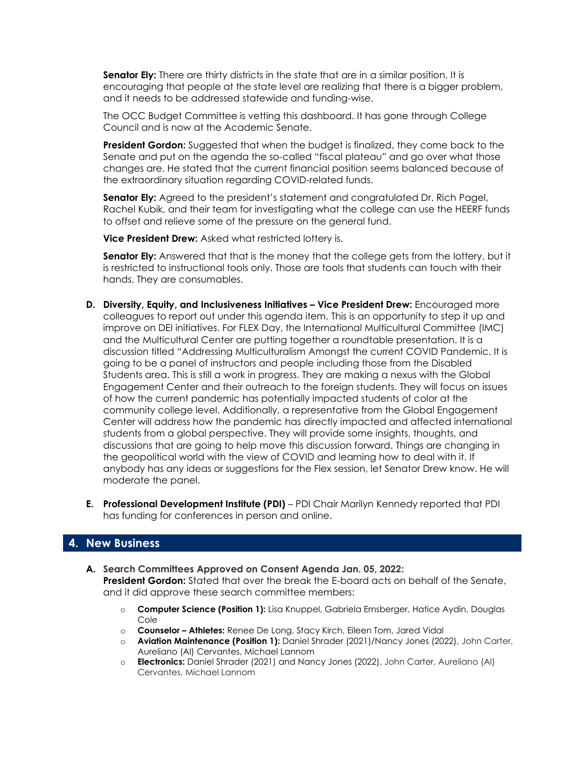**Senator Ely:** There are thirty districts in the state that are in a similar position. It is encouraging that people at the state level are realizing that there is a bigger problem, and it needs to be addressed statewide and funding-wise.

The OCC Budget Committee is vetting this dashboard. It has gone through College Council and is now at the Academic Senate.

**President Gordon:** Suggested that when the budget is finalized, they come back to the Senate and put on the agenda the so-called "fiscal plateau" and go over what those changes are. He stated that the current financial position seems balanced because of the extraordinary situation regarding COVID-related funds.

**Senator Ely:** Agreed to the president's statement and congratulated Dr. Rich Pagel, Rachel Kubik, and their team for investigating what the college can use the HEERF funds to offset and relieve some of the pressure on the general fund.

**Vice President Drew:** Asked what restricted lottery is.

**Senator Ely:** Answered that that is the money that the college gets from the lottery, but it is restricted to instructional tools only. Those are tools that students can touch with their hands. They are consumables.

- **D. Diversity, Equity, and Inclusiveness Initiatives – Vice President Drew:** Encouraged more colleagues to report out under this agenda item. This is an opportunity to step it up and improve on DEI initiatives. For FLEX Day, the International Multicultural Committee (IMC) and the Multicultural Center are putting together a roundtable presentation. It is a discussion titled "Addressing Multiculturalism Amongst the current COVID Pandemic. It is going to be a panel of instructors and people including those from the Disabled Students area. This is still a work in progress. They are making a nexus with the Global Engagement Center and their outreach to the foreign students. They will focus on issues of how the current pandemic has potentially impacted students of color at the community college level. Additionally, a representative from the Global Engagement Center will address how the pandemic has directly impacted and affected international students from a global perspective. They will provide some insights, thoughts, and discussions that are going to help move this discussion forward. Things are changing in the geopolitical world with the view of COVID and learning how to deal with it. If anybody has any ideas or suggestions for the Flex session, let Senator Drew know. He will moderate the panel.
- **E. Professional Development Institute (PDI)**  PDI Chair Marilyn Kennedy reported that PDI has funding for conferences in person and online.

#### **4. New Business**

- **A. Search Committees Approved on Consent Agenda Jan. 05, 2022: President Gordon:** Stated that over the break the E-board acts on behalf of the Senate, and it did approve these search committee members:
	- o **Computer Science (Position 1):** Lisa Knuppel, Gabriela Ernsberger, Hatice Aydin, Douglas Cole
	- o **Counselor – Athletes:** Renee De Long, Stacy Kirch, Eileen Tom, Jared Vidal
	- o **Aviation Maintenance (Position 1):** Daniel Shrader (2021)/Nancy Jones (2022), John Carter, Aureliano (Al) Cervantes, Michael Lannom
	- o **Electronics:** Daniel Shrader (2021) and Nancy Jones (2022). John Carter, Aureliano (Al) Cervantes, Michael Lannom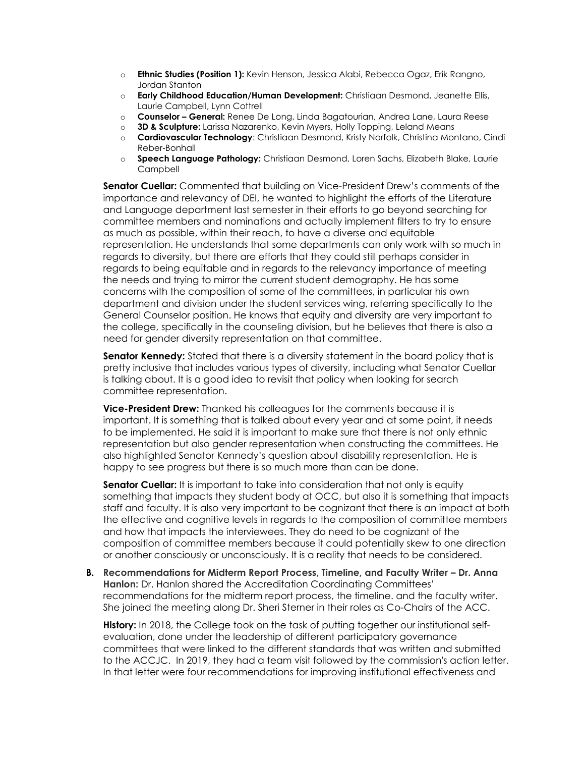- o **Ethnic Studies (Position 1):** Kevin Henson, Jessica Alabi, Rebecca Ogaz, Erik Rangno, Jordan Stanton
- o **Early Childhood Education/Human Development:** Christiaan Desmond, Jeanette Ellis, Laurie Campbell, Lynn Cottrell
- o **Counselor – General:** Renee De Long, Linda Bagatourian, Andrea Lane, Laura Reese
- o **3D & Sculpture:** Larissa Nazarenko, Kevin Myers, Holly Topping, Leland Means
- o **Cardiovascular Technology**: Christiaan Desmond, Kristy Norfolk, Christina Montano, Cindi Reber-Bonhall
- o **Speech Language Pathology:** Christiaan Desmond, Loren Sachs, Elizabeth Blake, Laurie **Campbell**

**Senator Cuellar:** Commented that building on Vice-President Drew's comments of the importance and relevancy of DEI, he wanted to highlight the efforts of the Literature and Language department last semester in their efforts to go beyond searching for committee members and nominations and actually implement filters to try to ensure as much as possible, within their reach, to have a diverse and equitable representation. He understands that some departments can only work with so much in regards to diversity, but there are efforts that they could still perhaps consider in regards to being equitable and in regards to the relevancy importance of meeting the needs and trying to mirror the current student demography. He has some concerns with the composition of some of the committees, in particular his own department and division under the student services wing, referring specifically to the General Counselor position. He knows that equity and diversity are very important to the college, specifically in the counseling division, but he believes that there is also a need for gender diversity representation on that committee.

**Senator Kennedy:** Stated that there is a diversity statement in the board policy that is pretty inclusive that includes various types of diversity, including what Senator Cuellar is talking about. It is a good idea to revisit that policy when looking for search committee representation.

**Vice-President Drew:** Thanked his colleagues for the comments because it is important. It is something that is talked about every year and at some point, it needs to be implemented. He said it is important to make sure that there is not only ethnic representation but also gender representation when constructing the committees. He also highlighted Senator Kennedy's question about disability representation. He is happy to see progress but there is so much more than can be done.

**Senator Cuellar:** It is important to take into consideration that not only is equity something that impacts they student body at OCC, but also it is something that impacts staff and faculty. It is also very important to be cognizant that there is an impact at both the effective and cognitive levels in regards to the composition of committee members and how that impacts the interviewees. They do need to be cognizant of the composition of committee members because it could potentially skew to one direction or another consciously or unconsciously. It is a reality that needs to be considered.

**B.** Recommendations for Midterm Report Process, Timeline, and Faculty Writer – Dr. Anna **Hanlon:** Dr. Hanlon shared the Accreditation Coordinating Committees' recommendations for the midterm report process, the timeline. and the faculty writer. She joined the meeting along Dr. Sheri Sterner in their roles as Co-Chairs of the ACC.

**History:** In 2018, the College took on the task of putting together our institutional selfevaluation, done under the leadership of different participatory governance committees that were linked to the different standards that was written and submitted to the ACCJC. In 2019, they had a team visit followed by the commission's action letter. In that letter were four recommendations for improving institutional effectiveness and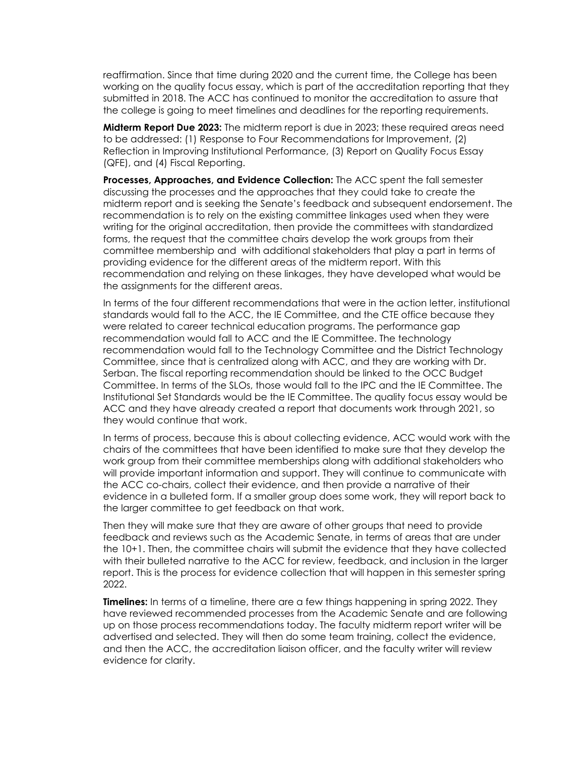reaffirmation. Since that time during 2020 and the current time, the College has been working on the quality focus essay, which is part of the accreditation reporting that they submitted in 2018. The ACC has continued to monitor the accreditation to assure that the college is going to meet timelines and deadlines for the reporting requirements.

**Midterm Report Due 2023:** The midterm report is due in 2023; these required areas need to be addressed: (1) Response to Four Recommendations for Improvement, (2) Reflection in Improving Institutional Performance, (3) Report on Quality Focus Essay (QFE), and (4) Fiscal Reporting.

**Processes, Approaches, and Evidence Collection:** The ACC spent the fall semester discussing the processes and the approaches that they could take to create the midterm report and is seeking the Senate's feedback and subsequent endorsement. The recommendation is to rely on the existing committee linkages used when they were writing for the original accreditation, then provide the committees with standardized forms, the request that the committee chairs develop the work groups from their committee membership and with additional stakeholders that play a part in terms of providing evidence for the different areas of the midterm report. With this recommendation and relying on these linkages, they have developed what would be the assignments for the different areas.

In terms of the four different recommendations that were in the action letter, institutional standards would fall to the ACC, the IE Committee, and the CTE office because they were related to career technical education programs. The performance gap recommendation would fall to ACC and the IE Committee. The technology recommendation would fall to the Technology Committee and the District Technology Committee, since that is centralized along with ACC, and they are working with Dr. Serban. The fiscal reporting recommendation should be linked to the OCC Budget Committee. In terms of the SLOs, those would fall to the IPC and the IE Committee. The Institutional Set Standards would be the IE Committee. The quality focus essay would be ACC and they have already created a report that documents work through 2021, so they would continue that work.

In terms of process, because this is about collecting evidence, ACC would work with the chairs of the committees that have been identified to make sure that they develop the work group from their committee memberships along with additional stakeholders who will provide important information and support. They will continue to communicate with the ACC co-chairs, collect their evidence, and then provide a narrative of their evidence in a bulleted form. If a smaller group does some work, they will report back to the larger committee to get feedback on that work.

Then they will make sure that they are aware of other groups that need to provide feedback and reviews such as the Academic Senate, in terms of areas that are under the 10+1. Then, the committee chairs will submit the evidence that they have collected with their bulleted narrative to the ACC for review, feedback, and inclusion in the larger report. This is the process for evidence collection that will happen in this semester spring 2022.

**Timelines:** In terms of a timeline, there are a few things happening in spring 2022. They have reviewed recommended processes from the Academic Senate and are following up on those process recommendations today. The faculty midterm report writer will be advertised and selected. They will then do some team training, collect the evidence, and then the ACC, the accreditation liaison officer, and the faculty writer will review evidence for clarity.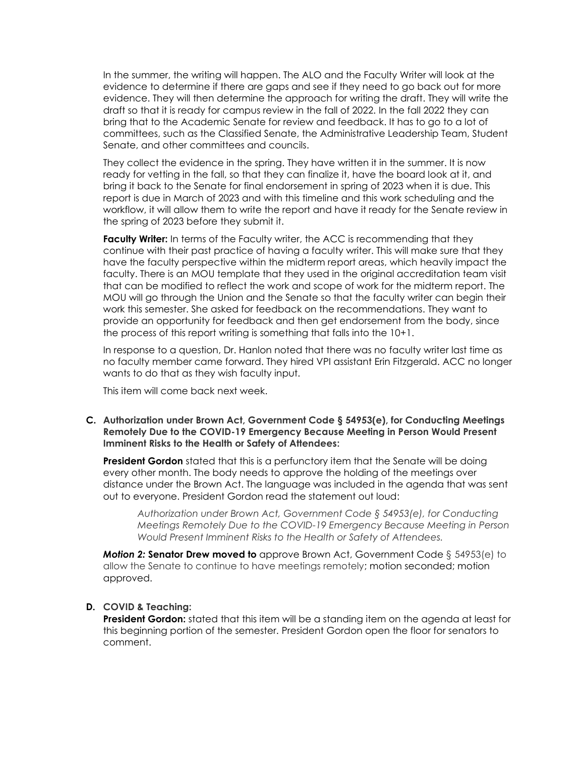In the summer, the writing will happen. The ALO and the Faculty Writer will look at the evidence to determine if there are gaps and see if they need to go back out for more evidence. They will then determine the approach for writing the draft. They will write the draft so that it is ready for campus review in the fall of 2022. In the fall 2022 they can bring that to the Academic Senate for review and feedback. It has to go to a lot of committees, such as the Classified Senate, the Administrative Leadership Team, Student Senate, and other committees and councils.

They collect the evidence in the spring. They have written it in the summer. It is now ready for vetting in the fall, so that they can finalize it, have the board look at it, and bring it back to the Senate for final endorsement in spring of 2023 when it is due. This report is due in March of 2023 and with this timeline and this work scheduling and the workflow, it will allow them to write the report and have it ready for the Senate review in the spring of 2023 before they submit it.

**Faculty Writer:** In terms of the Faculty writer, the ACC is recommending that they continue with their past practice of having a faculty writer. This will make sure that they have the faculty perspective within the midterm report areas, which heavily impact the faculty. There is an MOU template that they used in the original accreditation team visit that can be modified to reflect the work and scope of work for the midterm report. The MOU will go through the Union and the Senate so that the faculty writer can begin their work this semester. She asked for feedback on the recommendations. They want to provide an opportunity for feedback and then get endorsement from the body, since the process of this report writing is something that falls into the 10+1.

In response to a question, Dr. Hanlon noted that there was no faculty writer last time as no faculty member came forward. They hired VPI assistant Erin Fitzgerald. ACC no longer wants to do that as they wish faculty input.

This item will come back next week.

**C. Authorization under Brown Act, Government Code § 54953(e), for Conducting Meetings Remotely Due to the COVID-19 Emergency Because Meeting in Person Would Present Imminent Risks to the Health or Safety of Attendees:**

**President Gordon** stated that this is a perfunctory item that the Senate will be doing every other month. The body needs to approve the holding of the meetings over distance under the Brown Act. The language was included in the agenda that was sent out to everyone. President Gordon read the statement out loud:

*Authorization under Brown Act, Government Code § 54953(e), for Conducting Meetings Remotely Due to the COVID-19 Emergency Because Meeting in Person Would Present Imminent Risks to the Health or Safety of Attendees.*

*Motion 2:* **Senator Drew moved to** approve Brown Act, Government Code § 54953(e) to allow the Senate to continue to have meetings remotely; motion seconded; motion approved.

#### **D. COVID & Teaching:**

**President Gordon:** stated that this item will be a standing item on the agenda at least for this beginning portion of the semester. President Gordon open the floor for senators to comment.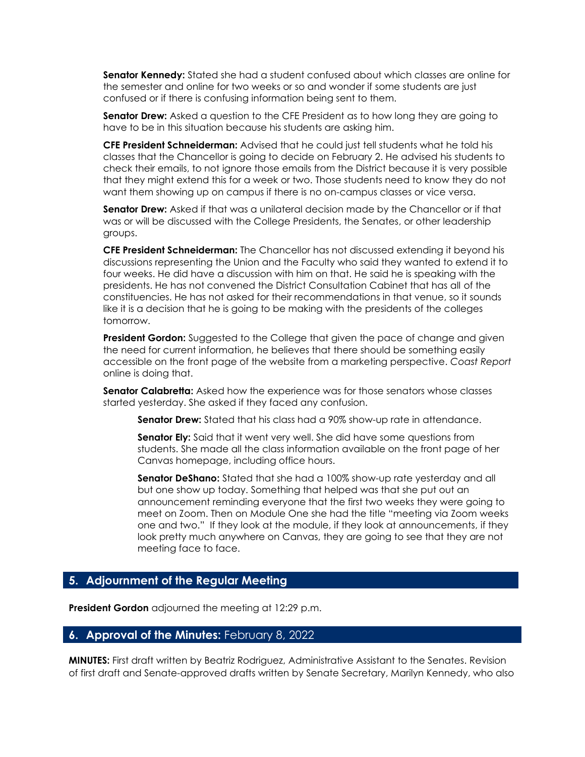**Senator Kennedy:** Stated she had a student confused about which classes are online for the semester and online for two weeks or so and wonder if some students are just confused or if there is confusing information being sent to them.

**Senator Drew:** Asked a question to the CFE President as to how long they are going to have to be in this situation because his students are asking him.

**CFE President Schneiderman:** Advised that he could just tell students what he told his classes that the Chancellor is going to decide on February 2. He advised his students to check their emails, to not ignore those emails from the District because it is very possible that they might extend this for a week or two. Those students need to know they do not want them showing up on campus if there is no on-campus classes or vice versa.

**Senator Drew:** Asked if that was a unilateral decision made by the Chancellor or if that was or will be discussed with the College Presidents, the Senates, or other leadership groups.

**CFE President Schneiderman:** The Chancellor has not discussed extending it beyond his discussions representing the Union and the Faculty who said they wanted to extend it to four weeks. He did have a discussion with him on that. He said he is speaking with the presidents. He has not convened the District Consultation Cabinet that has all of the constituencies. He has not asked for their recommendations in that venue, so it sounds like it is a decision that he is going to be making with the presidents of the colleges tomorrow.

**President Gordon:** Suggested to the College that given the pace of change and given the need for current information, he believes that there should be something easily accessible on the front page of the website from a marketing perspective. *Coast Report* online is doing that.

**Senator Calabretta:** Asked how the experience was for those senators whose classes started yesterday. She asked if they faced any confusion.

**Senator Drew:** Stated that his class had a 90% show-up rate in attendance.

**Senator Ely:** Said that it went very well. She did have some questions from students. She made all the class information available on the front page of her Canvas homepage, including office hours.

**Senator DeShano:** Stated that she had a 100% show-up rate yesterday and all but one show up today. Something that helped was that she put out an announcement reminding everyone that the first two weeks they were going to meet on Zoom. Then on Module One she had the title "meeting via Zoom weeks one and two." If they look at the module, if they look at announcements, if they look pretty much anywhere on Canvas, they are going to see that they are not meeting face to face.

#### **5. Adjournment of the Regular Meeting**

**President Gordon** adjourned the meeting at 12:29 p.m.

#### **6. Approval of the Minutes:** February 8, 2022

**MINUTES:** First draft written by Beatriz Rodriguez, Administrative Assistant to the Senates. Revision of first draft and Senate-approved drafts written by Senate Secretary, Marilyn Kennedy, who also